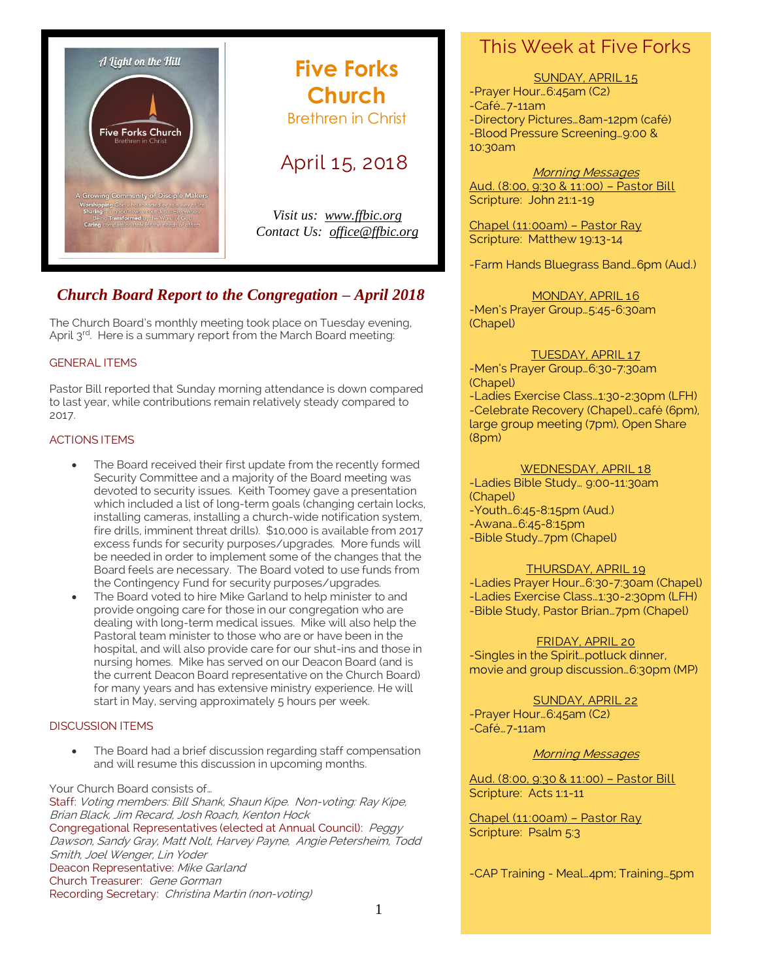

## **Five Forks Church** Brethren in Christ

### April 15, 2018

*Visit us: [www.ffbic.org](http://www.ffbic.org/) Contact Us: [office@ffbic.org](mailto:office@ffbic.org)*

### *Church Board Report to the Congregation – April 2018*

The Church Board's monthly meeting took place on Tuesday evening, April 3<sup>rd</sup>. Here is a summary report from the March Board meeting:

### GENERAL ITEMS

Pastor Bill reported that Sunday morning attendance is down compared to last year, while contributions remain relatively steady compared to 2017.

### ACTIONS ITEMS

- The Board received their first update from the recently formed Security Committee and a majority of the Board meeting was devoted to security issues. Keith Toomey gave a presentation which included a list of long-term goals (changing certain locks, installing cameras, installing a church-wide notification system, fire drills, imminent threat drills). \$10,000 is available from 2017 excess funds for security purposes/upgrades. More funds will be needed in order to implement some of the changes that the Board feels are necessary. The Board voted to use funds from the Contingency Fund for security purposes/upgrades.
- The Board voted to hire Mike Garland to help minister to and provide ongoing care for those in our congregation who are dealing with long-term medical issues. Mike will also help the Pastoral team minister to those who are or have been in the hospital, and will also provide care for our shut-ins and those in nursing homes. Mike has served on our Deacon Board (and is the current Deacon Board representative on the Church Board) for many years and has extensive ministry experience. He will start in May, serving approximately 5 hours per week.

### DISCUSSION ITEMS

 The Board had a brief discussion regarding staff compensation and will resume this discussion in upcoming months.

#### Your Church Board consists of…

Staff: Voting members: Bill Shank, Shaun Kipe. Non-voting: Ray Kipe, Brian Black, Jim Recard, Josh Roach, Kenton Hock Congregational Representatives (elected at Annual Council): Peggy Dawson, Sandy Gray, Matt Nolt, Harvey Payne, Angie Petersheim, Todd Smith, Joel Wenger, Lin Yoder Deacon Representative: Mike Garland Church Treasurer: Gene Gorman Recording Secretary: Christina Martin (non-voting)

### This Week at Five Forks

SUNDAY, APRIL 15 -Prayer Hour…6:45am (C2) -Café…7-11am -Directory Pictures…8am-12pm (café) -Blood Pressure Screening…9:00 & 10:30am

Morning Messages Aud. (8:00, 9:30 & 11:00) – Pastor Bill Scripture: John 21:1-19

Chapel (11:00am) – Pastor Ray Scripture: Matthew 19:13-14

-Farm Hands Bluegrass Band…6pm (Aud.)

MONDAY, APRIL 16 -Men's Prayer Group…5:45-6:30am (Chapel)

#### TUESDAY, APRIL 17

-Men's Prayer Group…6:30-7:30am (Chapel) -Ladies Exercise Class…1:30-2:30pm (LFH) -Celebrate Recovery (Chapel)…café (6pm), large group meeting (7pm), Open Share (8pm)

#### WEDNESDAY, APRIL 18

-Ladies Bible Study… 9:00-11:30am (Chapel)

- -Youth…6:45-8:15pm (Aud.)
- -Awana…6:45-8:15pm
- -Bible Study…7pm (Chapel)

#### THURSDAY, APRIL 19

-Ladies Prayer Hour…6:30-7:30am (Chapel) -Ladies Exercise Class…1:30-2:30pm (LFH) -Bible Study, Pastor Brian…7pm (Chapel)

FRIDAY, APRIL 20

-Singles in the Spirit…potluck dinner, movie and group discussion…6:30pm (MP)

SUNDAY, APRIL 22 -Prayer Hour…6:45am (C2) -Café…7-11am

Morning Messages

Aud. (8:00, 9:30 & 11:00) – Pastor Bill Scripture: Acts 1:1-11

Chapel (11:00am) – Pastor Ray Scripture: Psalm 5:3

-CAP Training - Meal…4pm; Training…5pm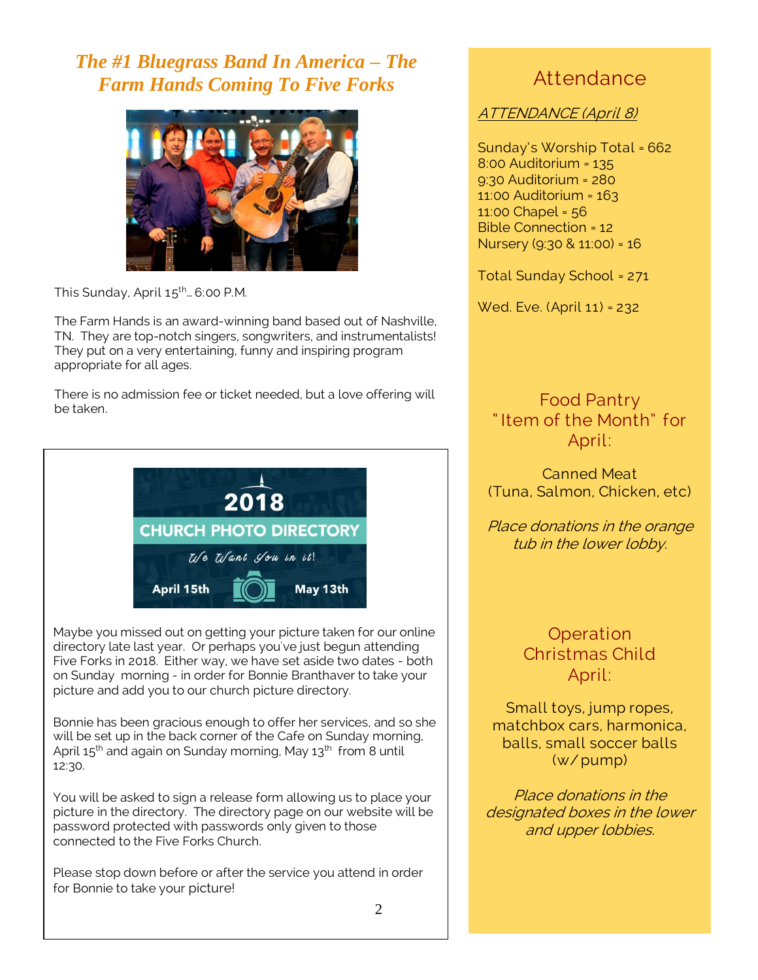# *The #1 Bluegrass Band In America – The Farm Hands Coming To Five Forks*



This Sunday, April 15<sup>th</sup>... 6:00 P.M.

The Farm Hands is an award-winning band based out of Nashville, TN. They are top-notch singers, songwriters, and instrumentalists! They put on a very entertaining, funny and inspiring program appropriate for all ages.

There is no admission fee or ticket needed, but a love offering will be taken.



Maybe you missed out on getting your picture taken for our online directory late last year. Or perhaps you've just begun attending Five Forks in 2018. Either way, we have set aside two dates - both on Sunday morning - in order for Bonnie Branthaver to take your picture and add you to our church picture directory.

Bonnie has been gracious enough to offer her services, and so she will be set up in the back corner of the Cafe on Sunday morning, April  $15<sup>th</sup>$  and again on Sunday morning, May  $13<sup>th</sup>$  from 8 until 12:30.

You will be asked to sign a release form allowing us to place your picture in the directory. The directory page on our website will be password protected with passwords only given to those connected to the Five Forks Church.

Please stop down before or after the service you attend in order for Bonnie to take your picture!

# Attendance

### ATTENDANCE (April 8)

Sunday's Worship Total = 662 8:00 Auditorium = 135 9:30 Auditorium = 280 11:00 Auditorium = 163 11:00 Chapel = 56 Bible Connection = 12 Nursery (9:30 & 11:00) = 16

Total Sunday School = 271

Wed. Eve. (April 11) = 232

Food Pantry " Item of the Month" for April:

Canned Meat (Tuna, Salmon, Chicken, etc)

Place donations in the orange tub in the lower lobby.

> **Operation** Christmas Child April:

Small toys, jump ropes, matchbox cars, harmonica, balls, small soccer balls (w/ pump)

Place donations in the designated boxes in the lower and upper lobbies.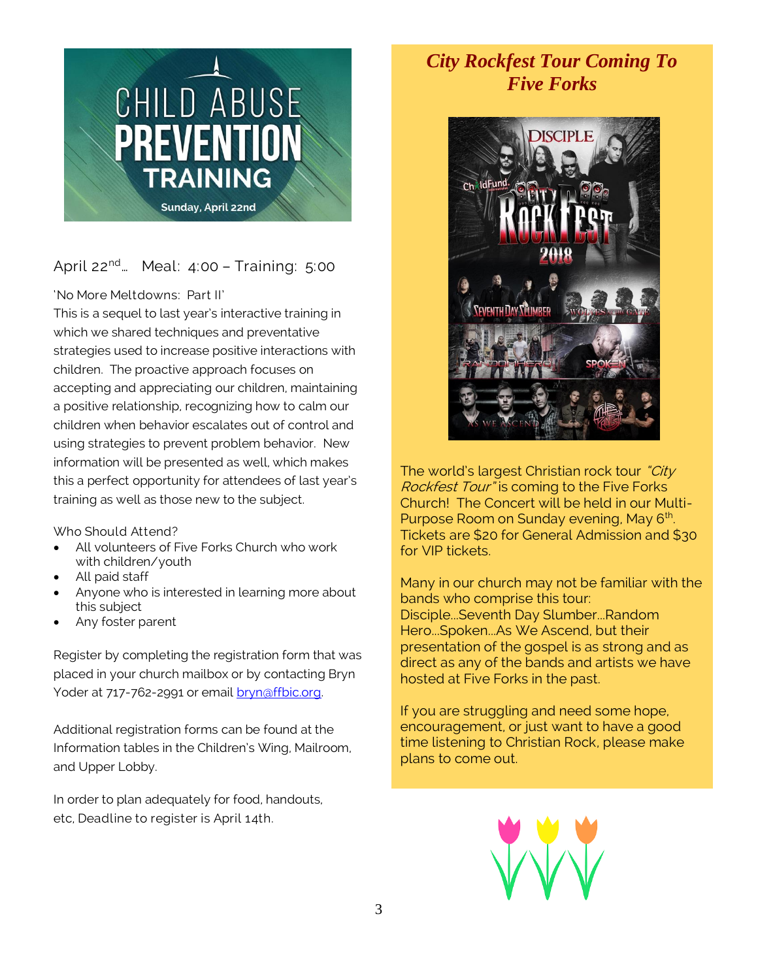

### April 22<sup>nd</sup>... Meal: 4:00 - Training: 5:00

'No More Meltdowns: Part II'

This is a sequel to last year's interactive training in which we shared techniques and preventative strategies used to increase positive interactions with children. The proactive approach focuses on accepting and appreciating our children, maintaining a positive relationship, recognizing how to calm our children when behavior escalates out of control and using strategies to prevent problem behavior. New information will be presented as well, which makes this a perfect opportunity for attendees of last year's training as well as those new to the subject.

Who Should Attend?

- All volunteers of Five Forks Church who work with children/youth
- All paid staff
- Anyone who is interested in learning more about this subject
- Any foster parent

Register by completing the registration form that was placed in your church mailbox or by contacting Bryn Yoder at 717-762-2991 or email bryn@ffbic.org.

Additional registration forms can be found at the Information tables in the Children's Wing, Mailroom, and Upper Lobby.

In order to plan adequately for food, handouts, etc, Deadline to register is April 14th.

# *City Rockfest Tour Coming To Five Forks*



The world's largest Christian rock tour "City" Rockfest Tour" is coming to the Five Forks Church! The Concert will be held in our Multi-Purpose Room on Sunday evening, May 6<sup>th</sup>. Tickets are \$20 for General Admission and \$30 for VIP tickets.

Many in our church may not be familiar with the bands who comprise this tour: Disciple...Seventh Day Slumber...Random Hero...Spoken...As We Ascend, but their presentation of the gospel is as strong and as direct as any of the bands and artists we have hosted at Five Forks in the past.

If you are struggling and need some hope, encouragement, or just want to have a good time listening to Christian Rock, please make plans to come out.

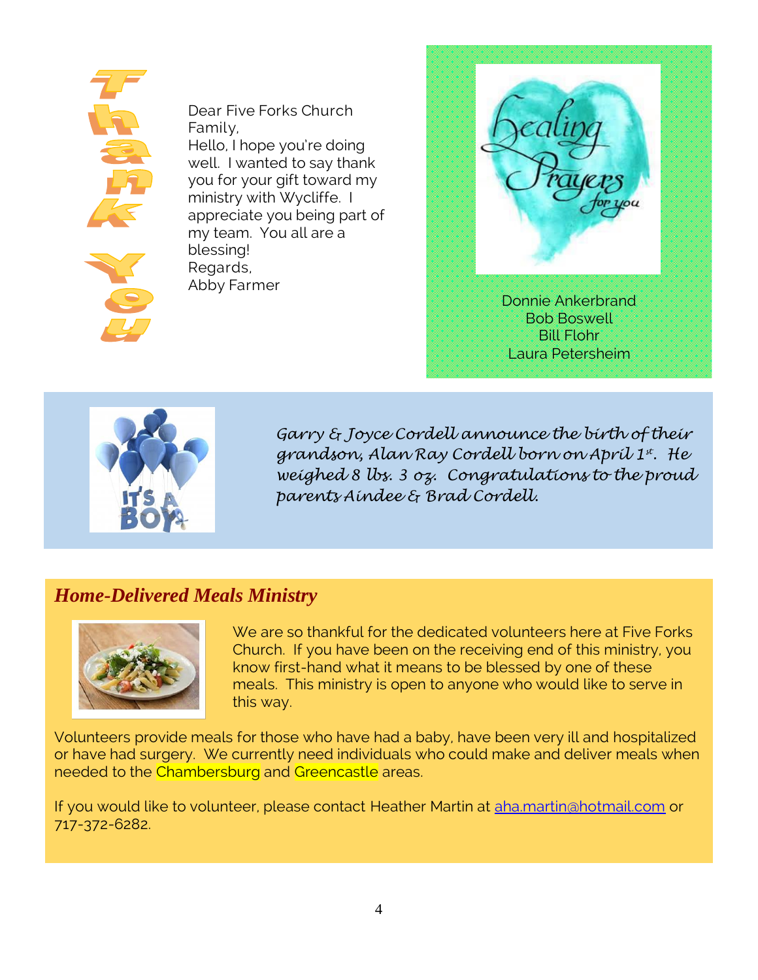

Dear Five Forks Church Family, Hello, I hope you're doing well. I wanted to say thank you for your gift toward my ministry with Wycliffe. I appreciate you being part of my team. You all are a blessing! Regards, Abby Farmer





*Garry & Joyce Cordell announce the birth of their grandson, Alan Ray Cordell born on April 1st. He weighed 8 lbs. 3 oz. Congratulations to the proud parents Aindee & Brad Cordell.*

## *Home-Delivered Meals Ministry*



We are so thankful for the dedicated volunteers here at Five Forks Church. If you have been on the receiving end of this ministry, you know first-hand what it means to be blessed by one of these meals. This ministry is open to anyone who would like to serve in this way.

Volunteers provide meals for those who have had a baby, have been very ill and hospitalized or have had surgery. We currently need individuals who could make and deliver meals when needed to the Chambersburg and Greencastle areas.

If you would like to volunteer, please contact Heather Martin at [aha.martin@hotmail.com](mailto:aha.martin@hotmail.com) or 717-372-6282.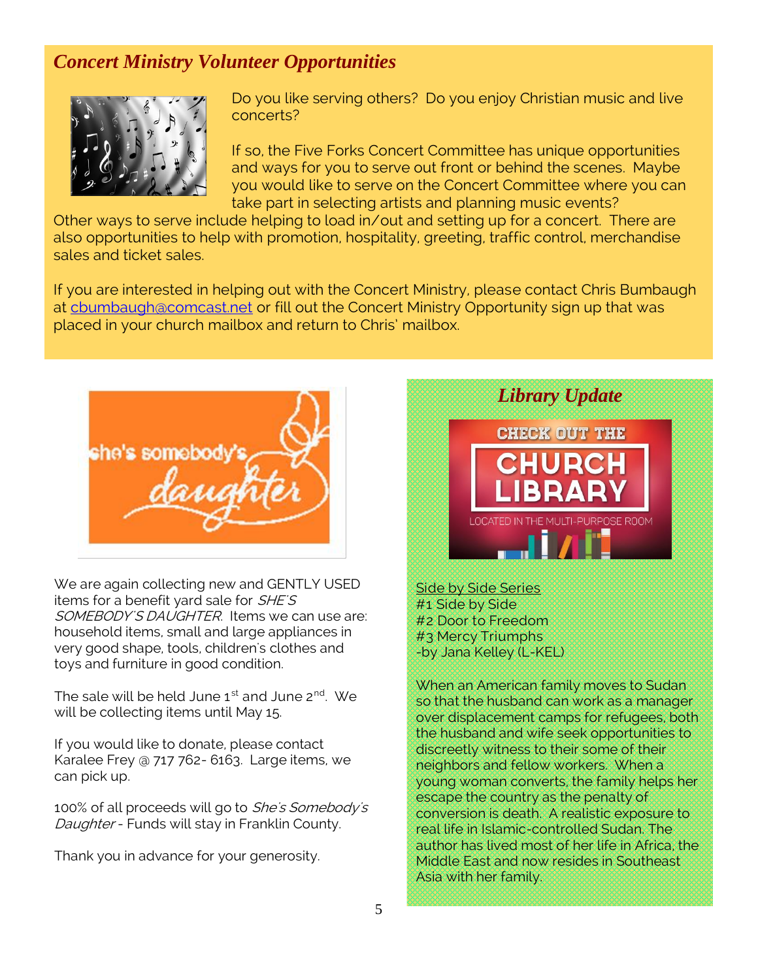# *Concert Ministry Volunteer Opportunities*



Do you like serving others? Do you enjoy Christian music and live concerts?

If so, the Five Forks Concert Committee has unique opportunities and ways for you to serve out front or behind the scenes. Maybe you would like to serve on the Concert Committee where you can take part in selecting artists and planning music events?

Other ways to serve include helping to load in/out and setting up for a concert. There are also opportunities to help with promotion, hospitality, greeting, traffic control, merchandise sales and ticket sales.

If you are interested in helping out with the Concert Ministry, please contact Chris Bumbaugh at [cbumbaugh@comcast.net](mailto:cbumbaugh@comcast.net) or fill out the Concert Ministry Opportunity sign up that was placed in your church mailbox and return to Chris' mailbox.



We are again collecting new and GENTLY USED items for a benefit yard sale for SHE'S SOMEBODY'S DAUGHTER. Items we can use are: household items, small and large appliances in very good shape, tools, children's clothes and toys and furniture in good condition.

The sale will be held June 1<sup>st</sup> and June 2<sup>nd</sup>. We will be collecting items until May 15.

If you would like to donate, please contact Karalee Frey @ 717 762- 6163. Large items, we can pick up.

100% of all proceeds will go to She's Somebody's Daughter - Funds will stay in Franklin County.

Thank you in advance for your generosity.



Side by Side Series #1 Side by Side #2 Door to Freedom #3 Mercy Triumphs -by Jana Kelley (L-KEL)

When an American family moves to Sudan so that the husband can work as a manager over displacement camps for refugees, both the husband and wife seek opportunities to discreetly witness to their some of their neighbors and fellow workers. When a young woman converts, the family helps her escape the country as the penalty of conversion is death. A realistic exposure to real life in Islamic-controlled Sudan. The author has lived most of her life in Africa, the Middle East and now resides in Southeast Asia with her family.